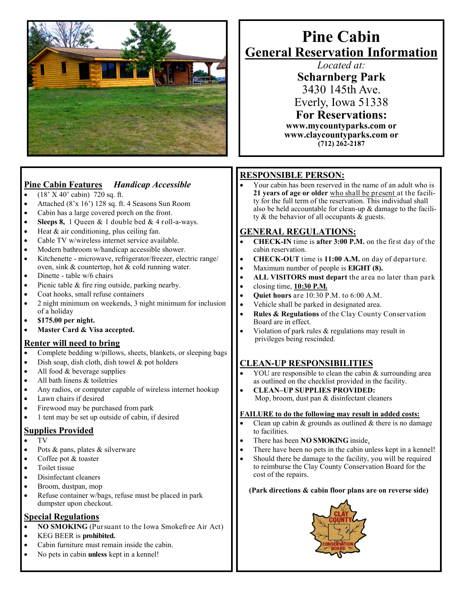

## **Pine Cabin Features** *Handicap Accessible*

- $(18' X 40' cabin) 720 sq. ft.$
- Attached (8'x 16') 128 sq. ft. 4 Seasons Sun Room
- Cabin has a large covered porch on the front.
- **Sleeps 8,** 1 Queen & 1 double bed & 4 roll-a-ways.
- $\bullet$  Heat & air conditioning, plus ceiling fan.
- Cable TV w/wireless internet service available.
- Modern bathroom w/handicap accessible shower.
- Kitchenette microwave, refrigerator/freezer, electric range/ oven, sink & countertop, hot & cold running water.
- Dinette table w/6 chairs
- Picnic table & fire ring outside, parking nearby.
- Coat hooks, small refuse containers
- 2 night minimum on weekends, 3 night minimum for inclusion of a holiday
- **\$175.00 per night.**
- **Master Card & Visa accepted.**

#### **Renter will need to bring**

- Complete bedding w/pillows, sheets, blankets, or sleeping bags
- Dish soap, dish cloth, dish towel & pot holders
- All food & beverage supplies
- All bath linens & toiletries
- Any radios, or computer capable of wireless internet hookup
- Lawn chairs if desired
- Firewood may be purchased from park
- 1 tent may be set up outside of cabin, if desired

#### **Supplies Provided**

- TV
- $\bullet$  Pots & pans, plates & silverware
- Coffee pot & toaster
- Toilet tissue
- Disinfectant cleaners
- Broom, dustpan, mop
- Refuse container w/bags, refuse must be placed in park dumpster upon checkout.

#### **Special Regulations**

- **NO SMOKING** (Pursuant to the Iowa Smokefree Air Act)
- KEG BEER is **prohibited.**
- Cabin furniture must remain inside the cabin.
- No pets in cabin **unless** kept in a kennel!

# **Pine Cabin General Reservation Information**

*Located at:* **Scharnberg Park** 3430 145th Ave. Everly, Iowa 51338 **For Reservations: www.mycountyparks.com or www.claycountyparks.com or (712) 262-2187**

## **RESPONSIBLE PERSON:**

 Your cabin has been reserved in the name of an adult who is **21 years of age or older** who shall be present at the facility for the full term of the reservation. This individual shall also be held accountable for clean-up & damage to the facility & the behavior of all occupants & guests.

## **GENERAL REGULATIONS:**

- **CHECK-IN** time is **after 3:00 P.M.** on the first day of the cabin reservation.
- **CHECK-OUT** time is **11:00 A.M.** on day of departure.
- Maximum number of people is **EIGHT (8).**
- **ALL VISITORS must depart** the area no later than park
- closing time, **10:30 P.M.**
- **Quiet hours** are 10:30 P.M. to 6:00 A.M.
- Vehicle shall be parked in designated area.
- **Rules & Regulations** of the Clay County Conservation Board are in effect.
- Violation of park rules & regulations may result in privileges being rescinded.

### **CLEAN-UP RESPONSIBILITIES**

- YOU are responsible to clean the cabin & surrounding area as outlined on the checklist provided in the facility.
- **CLEAN–UP SUPPLIES PROVIDED:** Mop, broom, dust pan & disinfectant cleaners

#### **FAILURE to do the following may result in added costs:**

- Clean up cabin  $&$  grounds as outlined  $&$  there is no damage to facilities.
- There has been **NO SMOKING** inside.
- There have been no pets in the cabin unless kept in a kennel!
- Should there be damage to the facility, you will be required to reimburse the Clay County Conservation Board for the cost of the repairs.

#### **(Park directions & cabin floor plans are on reverse side)**